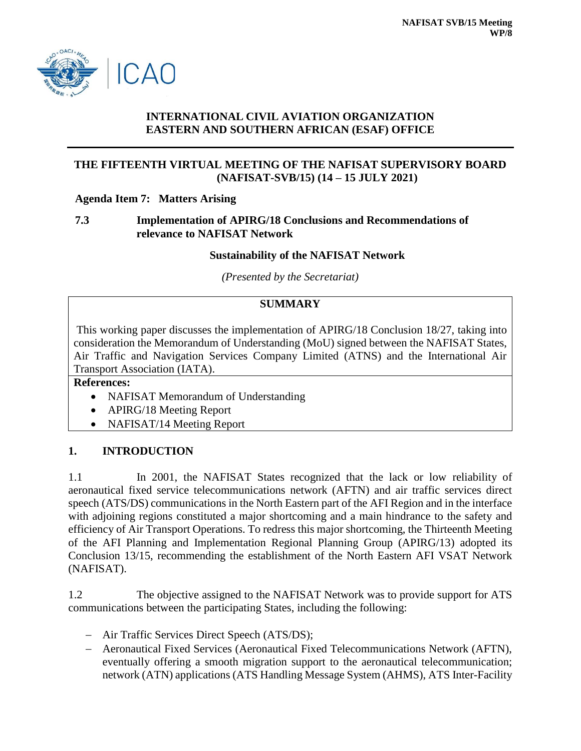

#### **INTERNATIONAL CIVIL AVIATION ORGANIZATION EASTERN AND SOUTHERN AFRICAN (ESAF) OFFICE**

### **THE FIFTEENTH VIRTUAL MEETING OF THE NAFISAT SUPERVISORY BOARD (NAFISAT-SVB/15) (14 – 15 JULY 2021)**

#### **Agenda Item 7: Matters Arising**

#### **7.3 Implementation of APIRG/18 Conclusions and Recommendations of relevance to NAFISAT Network**

#### **Sustainability of the NAFISAT Network**

*(Presented by the Secretariat)*

# **SUMMARY**

This working paper discusses the implementation of APIRG/18 Conclusion 18/27, taking into consideration the Memorandum of Understanding (MoU) signed between the NAFISAT States, Air Traffic and Navigation Services Company Limited (ATNS) and the International Air Transport Association (IATA).

#### **References:**

- NAFISAT Memorandum of Understanding
- APIRG/18 Meeting Report
- NAFISAT/14 Meeting Report

# **1. INTRODUCTION**

1.1 In 2001, the NAFISAT States recognized that the lack or low reliability of aeronautical fixed service telecommunications network (AFTN) and air traffic services direct speech (ATS/DS) communications in the North Eastern part of the AFI Region and in the interface with adjoining regions constituted a major shortcoming and a main hindrance to the safety and efficiency of Air Transport Operations. To redress this major shortcoming, the Thirteenth Meeting of the AFI Planning and Implementation Regional Planning Group (APIRG/13) adopted its Conclusion 13/15, recommending the establishment of the North Eastern AFI VSAT Network (NAFISAT).

1.2 The objective assigned to the NAFISAT Network was to provide support for ATS communications between the participating States, including the following:

- Air Traffic Services Direct Speech (ATS/DS);
- Aeronautical Fixed Services (Aeronautical Fixed Telecommunications Network (AFTN), eventually offering a smooth migration support to the aeronautical telecommunication; network (ATN) applications (ATS Handling Message System (AHMS), ATS Inter-Facility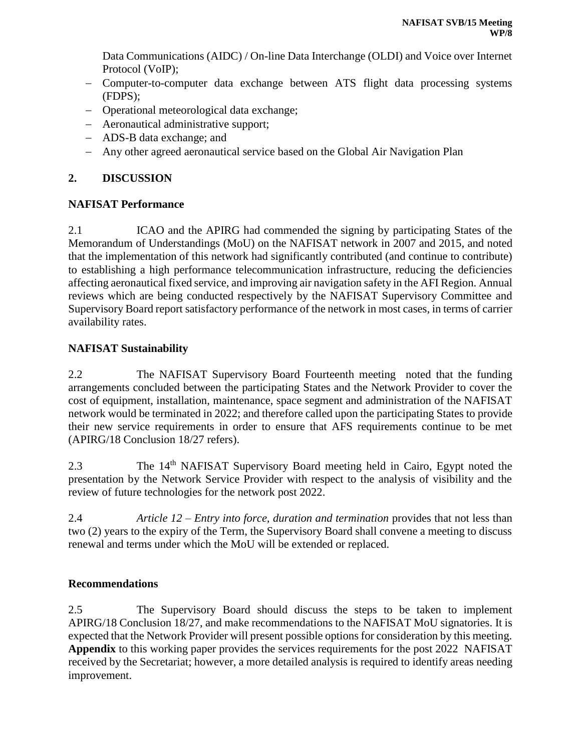Data Communications (AIDC) / On-line Data Interchange (OLDI) and Voice over Internet Protocol (VoIP);

- Computer-to-computer data exchange between ATS flight data processing systems (FDPS);
- Operational meteorological data exchange;
- Aeronautical administrative support;
- ADS-B data exchange; and
- Any other agreed aeronautical service based on the Global Air Navigation Plan

# **2. DISCUSSION**

# **NAFISAT Performance**

2.1 ICAO and the APIRG had commended the signing by participating States of the Memorandum of Understandings (MoU) on the NAFISAT network in 2007 and 2015, and noted that the implementation of this network had significantly contributed (and continue to contribute) to establishing a high performance telecommunication infrastructure, reducing the deficiencies affecting aeronautical fixed service, and improving air navigation safety in the AFI Region. Annual reviews which are being conducted respectively by the NAFISAT Supervisory Committee and Supervisory Board report satisfactory performance of the network in most cases, in terms of carrier availability rates.

# **NAFISAT Sustainability**

2.2 The NAFISAT Supervisory Board Fourteenth meeting noted that the funding arrangements concluded between the participating States and the Network Provider to cover the cost of equipment, installation, maintenance, space segment and administration of the NAFISAT network would be terminated in 2022; and therefore called upon the participating States to provide their new service requirements in order to ensure that AFS requirements continue to be met (APIRG/18 Conclusion 18/27 refers).

2.3 The 14<sup>th</sup> NAFISAT Supervisory Board meeting held in Cairo, Egypt noted the presentation by the Network Service Provider with respect to the analysis of visibility and the review of future technologies for the network post 2022.

2.4 *Article 12 – Entry into force, duration and termination* provides that not less than two (2) years to the expiry of the Term, the Supervisory Board shall convene a meeting to discuss renewal and terms under which the MoU will be extended or replaced.

# **Recommendations**

2.5 The Supervisory Board should discuss the steps to be taken to implement APIRG/18 Conclusion 18/27, and make recommendations to the NAFISAT MoU signatories. It is expected that the Network Provider will present possible options for consideration by this meeting. **Appendix** to this working paper provides the services requirements for the post 2022 NAFISAT received by the Secretariat; however, a more detailed analysis is required to identify areas needing improvement.